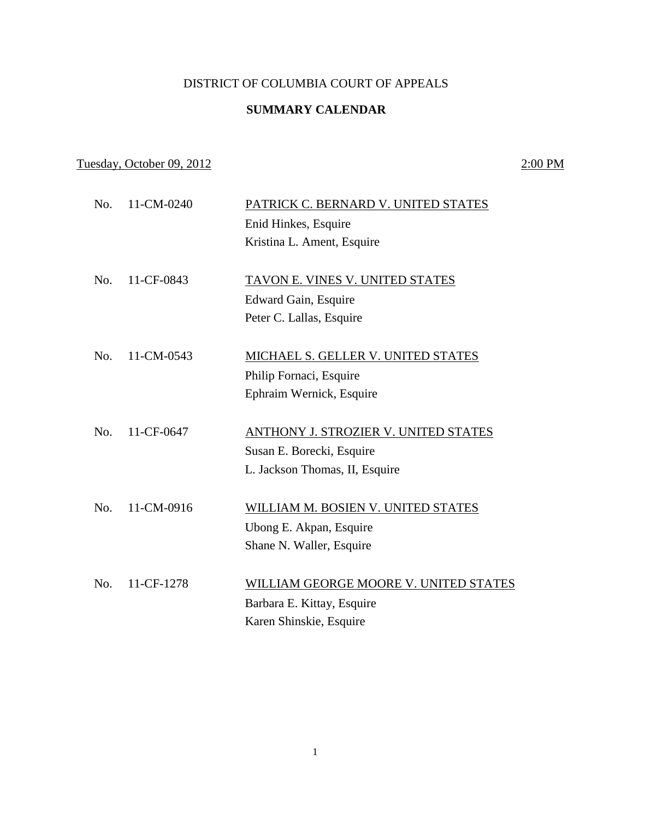#### DISTRICT OF COLUMBIA COURT OF APPEALS

## **SUMMARY CALENDAR**

# Tuesday, October 09, 2012 2:00 PM

| No. | 11-CM-0240 | PATRICK C. BERNARD V. UNITED STATES   |
|-----|------------|---------------------------------------|
|     |            | Enid Hinkes, Esquire                  |
|     |            | Kristina L. Ament, Esquire            |
| No. | 11-CF-0843 | TAVON E. VINES V. UNITED STATES       |
|     |            |                                       |
|     |            | Edward Gain, Esquire                  |
|     |            | Peter C. Lallas, Esquire              |
| No. | 11-CM-0543 | MICHAEL S. GELLER V. UNITED STATES    |
|     |            | Philip Fornaci, Esquire               |
|     |            | Ephraim Wernick, Esquire              |
| No. | 11-CF-0647 |                                       |
|     |            | ANTHONY J. STROZIER V. UNITED STATES  |
|     |            | Susan E. Borecki, Esquire             |
|     |            | L. Jackson Thomas, II, Esquire        |
| No. | 11-CM-0916 | WILLIAM M. BOSIEN V. UNITED STATES    |
|     |            | Ubong E. Akpan, Esquire               |
|     |            | Shane N. Waller, Esquire              |
|     |            |                                       |
| No. | 11-CF-1278 | WILLIAM GEORGE MOORE V. UNITED STATES |
|     |            | Barbara E. Kittay, Esquire            |
|     |            | Karen Shinskie, Esquire               |
|     |            |                                       |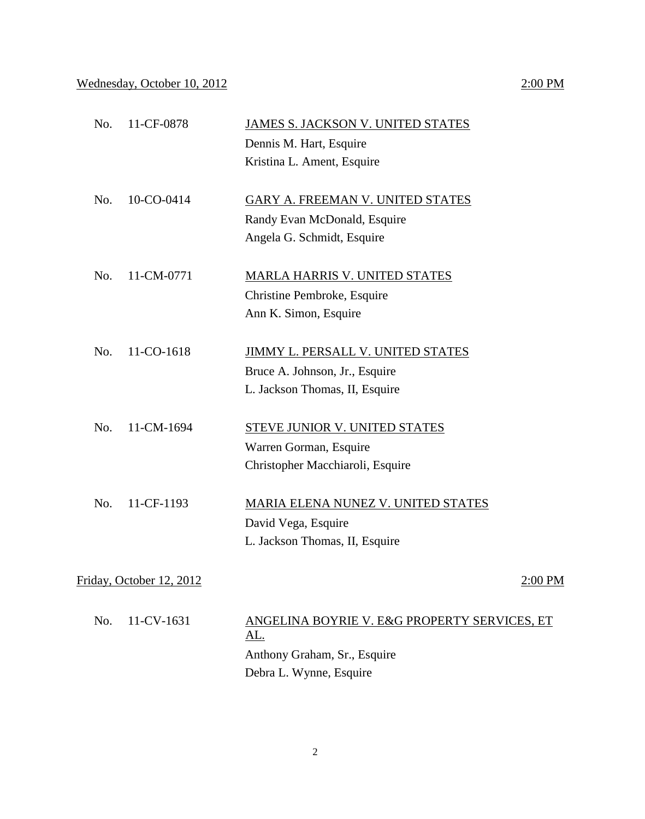## Wednesday, October 10, 2012 2:00 PM

| No. | 11-CF-0878               | JAMES S. JACKSON V. UNITED STATES<br>Dennis M. Hart, Esquire |         |
|-----|--------------------------|--------------------------------------------------------------|---------|
|     |                          | Kristina L. Ament, Esquire                                   |         |
| No. | 10-CO-0414               | GARY A. FREEMAN V. UNITED STATES                             |         |
|     |                          | Randy Evan McDonald, Esquire                                 |         |
|     |                          | Angela G. Schmidt, Esquire                                   |         |
| No. | 11-CM-0771               | <b>MARLA HARRIS V. UNITED STATES</b>                         |         |
|     |                          | Christine Pembroke, Esquire                                  |         |
|     |                          | Ann K. Simon, Esquire                                        |         |
| No. | 11-CO-1618               | <b>JIMMY L. PERSALL V. UNITED STATES</b>                     |         |
|     |                          | Bruce A. Johnson, Jr., Esquire                               |         |
|     |                          | L. Jackson Thomas, II, Esquire                               |         |
| No. | 11-CM-1694               | <b>STEVE JUNIOR V. UNITED STATES</b>                         |         |
|     |                          | Warren Gorman, Esquire                                       |         |
|     |                          | Christopher Macchiaroli, Esquire                             |         |
| No. | 11-CF-1193               | <b>MARIA ELENA NUNEZ V. UNITED STATES</b>                    |         |
|     |                          | David Vega, Esquire                                          |         |
|     |                          | L. Jackson Thomas, II, Esquire                               |         |
|     | Friday, October 12, 2012 |                                                              | 2:00 PM |
| No. | 11-CV-1631               | ANGELINA BOYRIE V. E&G PROPERTY SERVICES, ET<br><u>AL.</u>   |         |

Anthony Graham, Sr., Esquire Debra L. Wynne, Esquire

#### 2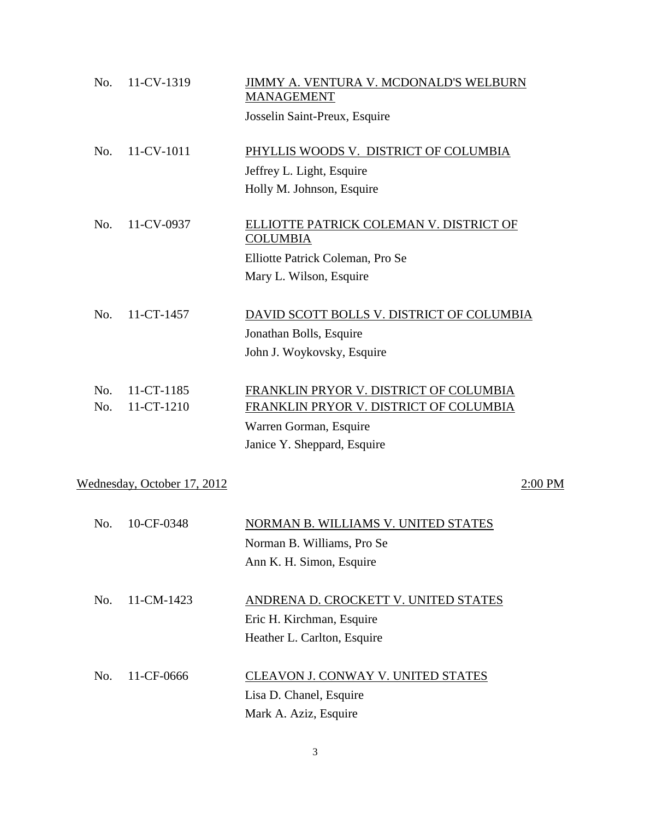| No.        | 11-CV-1319                  | JIMMY A. VENTURA V. MCDONALD'S WELBURN<br><b>MANAGEMENT</b>                      |         |
|------------|-----------------------------|----------------------------------------------------------------------------------|---------|
|            |                             | Josselin Saint-Preux, Esquire                                                    |         |
| No.        | 11-CV-1011                  | PHYLLIS WOODS V. DISTRICT OF COLUMBIA                                            |         |
|            |                             | Jeffrey L. Light, Esquire                                                        |         |
|            |                             | Holly M. Johnson, Esquire                                                        |         |
| No.        | 11-CV-0937                  | ELLIOTTE PATRICK COLEMAN V. DISTRICT OF<br><b>COLUMBIA</b>                       |         |
|            |                             | Elliotte Patrick Coleman, Pro Se                                                 |         |
|            |                             | Mary L. Wilson, Esquire                                                          |         |
| No.        | 11-CT-1457                  | DAVID SCOTT BOLLS V. DISTRICT OF COLUMBIA                                        |         |
|            |                             | Jonathan Bolls, Esquire                                                          |         |
|            |                             | John J. Woykovsky, Esquire                                                       |         |
| No.<br>No. | 11-CT-1185<br>11-CT-1210    | FRANKLIN PRYOR V. DISTRICT OF COLUMBIA<br>FRANKLIN PRYOR V. DISTRICT OF COLUMBIA |         |
|            |                             | Warren Gorman, Esquire                                                           |         |
|            |                             | Janice Y. Sheppard, Esquire                                                      |         |
|            |                             |                                                                                  |         |
|            | Wednesday, October 17, 2012 |                                                                                  | 2:00 PM |
| No.        | 10-CF-0348                  | NORMAN B. WILLIAMS V. UNITED STATES                                              |         |
|            |                             | Norman B. Williams, Pro Se                                                       |         |
|            |                             | Ann K. H. Simon, Esquire                                                         |         |
| No.        | 11-CM-1423                  | ANDRENA D. CROCKETT V. UNITED STATES                                             |         |
|            |                             | Eric H. Kirchman, Esquire                                                        |         |
|            |                             | Heather L. Carlton, Esquire                                                      |         |
| No.        | 11-CF-0666                  | CLEAVON J. CONWAY V. UNITED STATES                                               |         |
|            |                             | Lisa D. Chanel, Esquire                                                          |         |
|            |                             | Mark A. Aziz, Esquire                                                            |         |

3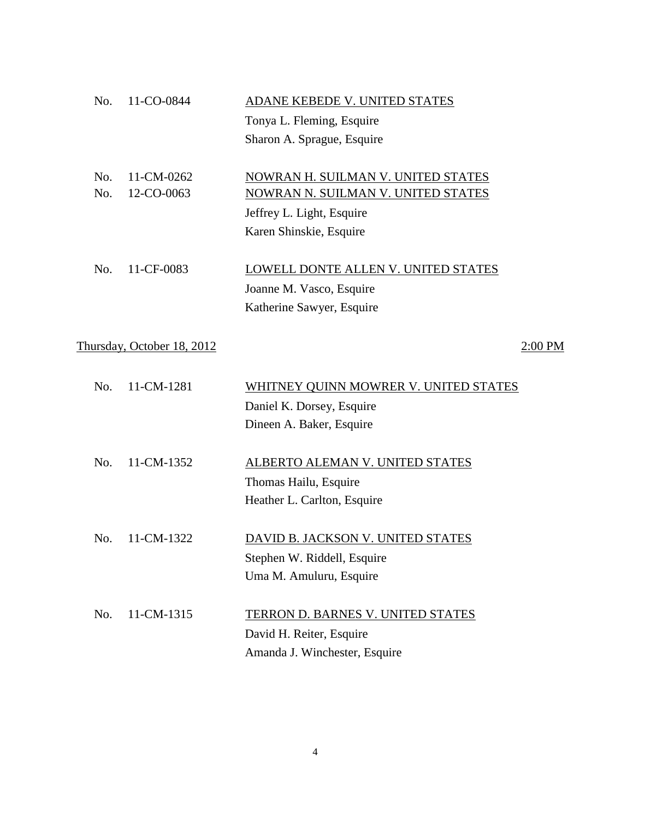| No. | 11-CO-0844                 | ADANE KEBEDE V. UNITED STATES              |           |
|-----|----------------------------|--------------------------------------------|-----------|
|     |                            | Tonya L. Fleming, Esquire                  |           |
|     |                            | Sharon A. Sprague, Esquire                 |           |
| No. | 11-CM-0262                 | NOWRAN H. SUILMAN V. UNITED STATES         |           |
| No. | 12-CO-0063                 | NOWRAN N. SUILMAN V. UNITED STATES         |           |
|     |                            | Jeffrey L. Light, Esquire                  |           |
|     |                            | Karen Shinskie, Esquire                    |           |
| No. | 11-CF-0083                 | <b>LOWELL DONTE ALLEN V. UNITED STATES</b> |           |
|     |                            | Joanne M. Vasco, Esquire                   |           |
|     |                            | Katherine Sawyer, Esquire                  |           |
|     | Thursday, October 18, 2012 |                                            | $2:00$ PM |
|     |                            |                                            |           |
| No. | 11-CM-1281                 | WHITNEY QUINN MOWRER V. UNITED STATES      |           |
|     |                            | Daniel K. Dorsey, Esquire                  |           |
|     |                            | Dineen A. Baker, Esquire                   |           |
| No. | 11-CM-1352                 | ALBERTO ALEMAN V. UNITED STATES            |           |
|     |                            | Thomas Hailu, Esquire                      |           |
|     |                            | Heather L. Carlton, Esquire                |           |
| No. | 11-CM-1322                 | DAVID B. JACKSON V. UNITED STATES          |           |
|     |                            | Stephen W. Riddell, Esquire                |           |
|     |                            | Uma M. Amuluru, Esquire                    |           |
|     |                            |                                            |           |
| No. | 11-CM-1315                 | <b>TERRON D. BARNES V. UNITED STATES</b>   |           |
|     |                            | David H. Reiter, Esquire                   |           |
|     |                            | Amanda J. Winchester, Esquire              |           |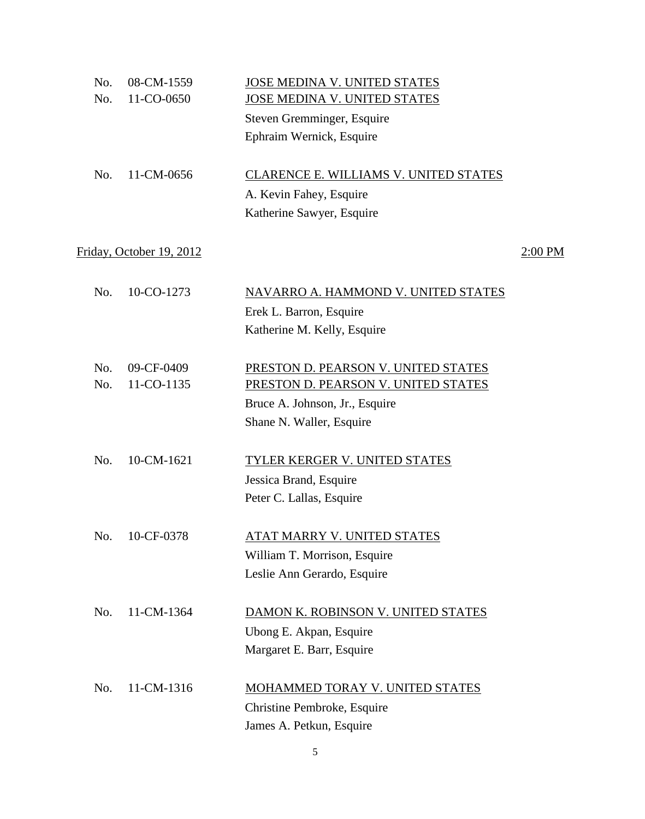| No. | 08-CM-1559               | JOSE MEDINA V. UNITED STATES           |           |
|-----|--------------------------|----------------------------------------|-----------|
| No. | 11-CO-0650               | JOSE MEDINA V. UNITED STATES           |           |
|     |                          | Steven Gremminger, Esquire             |           |
|     |                          | Ephraim Wernick, Esquire               |           |
| No. | 11-CM-0656               | CLARENCE E. WILLIAMS V. UNITED STATES  |           |
|     |                          | A. Kevin Fahey, Esquire                |           |
|     |                          | Katherine Sawyer, Esquire              |           |
|     | Friday, October 19, 2012 |                                        | $2:00$ PM |
| No. | 10-CO-1273               | NAVARRO A. HAMMOND V. UNITED STATES    |           |
|     |                          | Erek L. Barron, Esquire                |           |
|     |                          | Katherine M. Kelly, Esquire            |           |
| No. | 09-CF-0409               | PRESTON D. PEARSON V. UNITED STATES    |           |
| No. | 11-CO-1135               | PRESTON D. PEARSON V. UNITED STATES    |           |
|     |                          | Bruce A. Johnson, Jr., Esquire         |           |
|     |                          | Shane N. Waller, Esquire               |           |
| No. | 10-CM-1621               | <b>TYLER KERGER V. UNITED STATES</b>   |           |
|     |                          | Jessica Brand, Esquire                 |           |
|     |                          | Peter C. Lallas, Esquire               |           |
| No. | 10-CF-0378               | <u>ATAT MARRY V. UNITED STATES</u>     |           |
|     |                          | William T. Morrison, Esquire           |           |
|     |                          | Leslie Ann Gerardo, Esquire            |           |
| No. | 11-CM-1364               | DAMON K. ROBINSON V. UNITED STATES     |           |
|     |                          | Ubong E. Akpan, Esquire                |           |
|     |                          | Margaret E. Barr, Esquire              |           |
| No. | 11-CM-1316               | <b>MOHAMMED TORAY V. UNITED STATES</b> |           |
|     |                          | Christine Pembroke, Esquire            |           |
|     |                          | James A. Petkun, Esquire               |           |
|     |                          |                                        |           |

5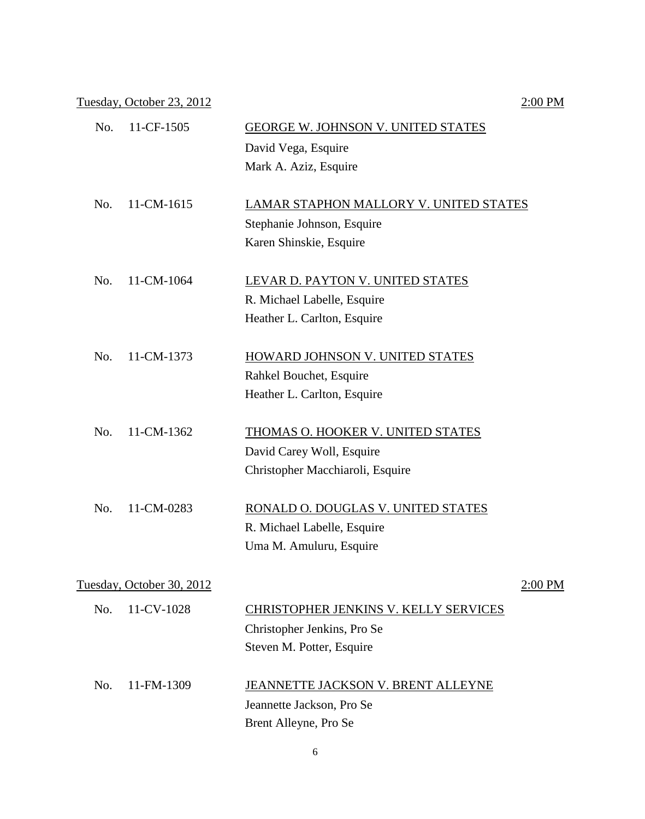Tuesday, October 23, 2012 2:00 PM

| No. | 11-CF-1505                | <b>GEORGE W. JOHNSON V. UNITED STATES</b>    |         |
|-----|---------------------------|----------------------------------------------|---------|
|     |                           | David Vega, Esquire                          |         |
|     |                           | Mark A. Aziz, Esquire                        |         |
| No. | 11-CM-1615                | LAMAR STAPHON MALLORY V. UNITED STATES       |         |
|     |                           | Stephanie Johnson, Esquire                   |         |
|     |                           | Karen Shinskie, Esquire                      |         |
| No. | 11-CM-1064                | LEVAR D. PAYTON V. UNITED STATES             |         |
|     |                           | R. Michael Labelle, Esquire                  |         |
|     |                           | Heather L. Carlton, Esquire                  |         |
| No. | 11-CM-1373                | HOWARD JOHNSON V. UNITED STATES              |         |
|     |                           | Rahkel Bouchet, Esquire                      |         |
|     |                           | Heather L. Carlton, Esquire                  |         |
| No. | 11-CM-1362                | THOMAS O. HOOKER V. UNITED STATES            |         |
|     |                           | David Carey Woll, Esquire                    |         |
|     |                           | Christopher Macchiaroli, Esquire             |         |
| No. | 11-CM-0283                | RONALD O. DOUGLAS V. UNITED STATES           |         |
|     |                           | R. Michael Labelle, Esquire                  |         |
|     |                           | Uma M. Amuluru, Esquire                      |         |
|     | Tuesday, October 30, 2012 |                                              | 2:00 PM |
| No. | 11-CV-1028                | <b>CHRISTOPHER JENKINS V. KELLY SERVICES</b> |         |
|     |                           | Christopher Jenkins, Pro Se                  |         |
|     |                           | Steven M. Potter, Esquire                    |         |
|     |                           |                                              |         |
| No. | 11-FM-1309                | JEANNETTE JACKSON V. BRENT ALLEYNE           |         |
|     |                           | Jeannette Jackson, Pro Se                    |         |
|     |                           | Brent Alleyne, Pro Se                        |         |